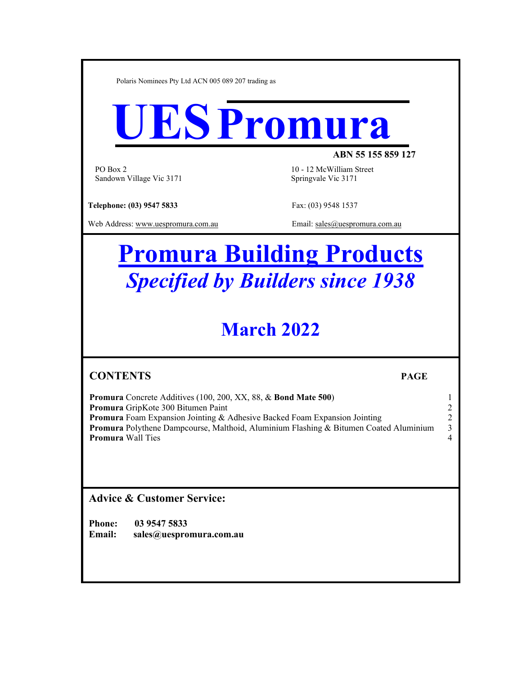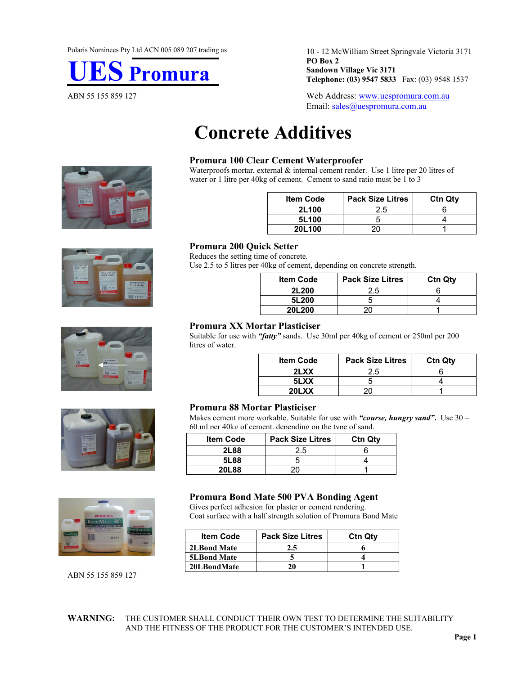

10 - 12 McWilliam Street Springvale Victoria 3171 **PO Box 2 Sandown Village Vic 3171 Telephone: (03) 9547 5833** Fax: (03) 9548 1537

ABN 55 155 859 127 Web Address: www.uespromura.com.au Email: sales@uespromura.com.au

# **Concrete Additives**

### **Promura 100 Clear Cement Waterproofer**

Waterproofs mortar, external  $\&$  internal cement render. Use 1 litre per 20 litres of water or 1 litre per 40kg of cement. Cement to sand ratio must be 1 to 3

| <b>Item Code</b> | <b>Pack Size Litres</b> | <b>Ctn Qtv</b> |
|------------------|-------------------------|----------------|
| 2L100            | 2.5                     |                |
| 5L100            |                         |                |
| 20L100           |                         |                |









ABN 55 155 859 127

#### **Promura 200 Quick Setter**  Reduces the setting time of concrete.

Use 2.5 to 5 litres per 40kg of cement, depending on concrete strength.

| <b>Item Code</b> | <b>Pack Size Litres</b> | <b>Ctn Qtv</b> |
|------------------|-------------------------|----------------|
| 2L200            | 2.5                     |                |
| 5L200            |                         |                |
| 20L200           |                         |                |

### **Promura XX Mortar Plasticiser**

Suitable for use with *"fatty"* sands. Use 30ml per 40kg of cement or 250ml per 200 litres of water.

| <b>Item Code</b> | <b>Pack Size Litres</b> | <b>Ctn Qtv</b> |
|------------------|-------------------------|----------------|
| 2LXX             | 2.5                     |                |
| 5LXX             |                         |                |
| 20LXX            |                         |                |

### **Promura 88 Mortar Plasticiser**

Makes cement more workable. Suitable for use with *"course, hungry sand"***.** Use 30 – 60 ml per 40kg of cement, depending on the type of sand.

| <b>Item Code</b> | <b>Pack Size Litres</b> | <b>Ctn Qty</b> |
|------------------|-------------------------|----------------|
| 2L88             | 2.5                     |                |
| 5L88             |                         |                |
| 20L88            |                         |                |

### **Promura Bond Mate 500 PVA Bonding Agent**

Gives perfect adhesion for plaster or cement rendering. Coat surface with a half strength solution of Promura Bond Mate

| <b>Item Code</b>   | <b>Pack Size Litres</b> | <b>Ctn Qtv</b> |
|--------------------|-------------------------|----------------|
| <b>2LBond Mate</b> | 2.5                     |                |
| <b>5LBond Mate</b> |                         |                |
| 20LBondMate        | 20                      |                |

**WARNING:** THE CUSTOMER SHALL CONDUCT THEIR OWN TEST TO DETERMINE THE SUITABILITY AND THE FITNESS OF THE PRODUCT FOR THE CUSTOMER'S INTENDED USE.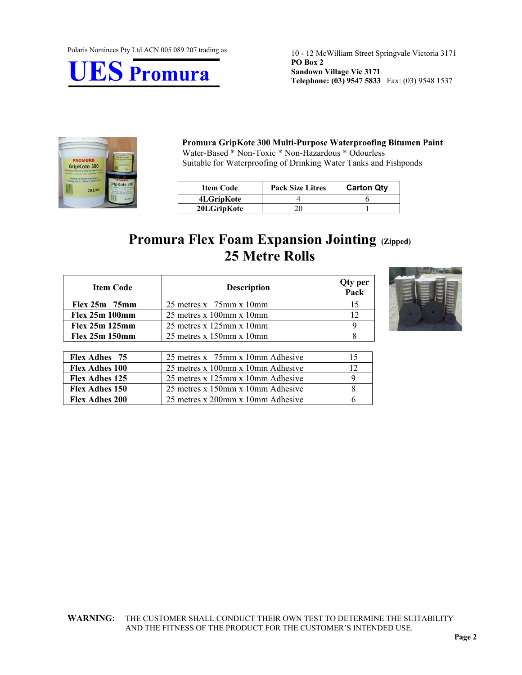Polaris Nominees Pty Ltd ACN 005 089 207 trading as



10 - 12 McWilliam Street Springvale Victoria 3171 **PO Box 2 Sandown Village Vic 3171 Telephone: (03) 9547 5833** Fax: (03) 9548 1537



#### **Promura GripKote 300 Multi-Purpose Waterproofing Bitumen Paint**  Water-Based \* Non-Toxic \* Non-Hazardous \* Odourless Suitable for Waterproofing of Drinking Water Tanks and Fishponds

| <b>Item Code</b> | <b>Pack Size Litres</b> | <b>Carton Qty</b> |
|------------------|-------------------------|-------------------|
| 4LGripKote       |                         |                   |
| 20LGripKote      |                         |                   |

## **Promura Flex Foam Expansion Jointing (Zipped) 25 Metre Rolls**

| <b>Item Code</b> | <b>Description</b>               | Qty per<br>Pack |
|------------------|----------------------------------|-----------------|
| $Flex 25m$ 75mm  | 25 metres x $75$ mm x 10mm       | 15              |
| Flex 25m 100mm   | $25$ metres x 100mm x 10mm       | 12              |
| Flex 25m 125mm   | $25$ metres x $125$ mm x $10$ mm |                 |
| Flex 25m 150mm   | $25$ metres x $150$ mm x $10$ mm |                 |



| <b>Flex Adhes</b> 75  | 25 metres x 75mm x 10mm Adhesive  |  |
|-----------------------|-----------------------------------|--|
| <b>Flex Adhes 100</b> | 25 metres x 100mm x 10mm Adhesive |  |
| <b>Flex Adhes 125</b> | 25 metres x 125mm x 10mm Adhesive |  |
| <b>Flex Adhes 150</b> | 25 metres x 150mm x 10mm Adhesive |  |
| <b>Flex Adhes 200</b> | 25 metres x 200mm x 10mm Adhesive |  |

#### **WARNING:** THE CUSTOMER SHALL CONDUCT THEIR OWN TEST TO DETERMINE THE SUITABILITY AND THE FITNESS OF THE PRODUCT FOR THE CUSTOMER'S INTENDED USE.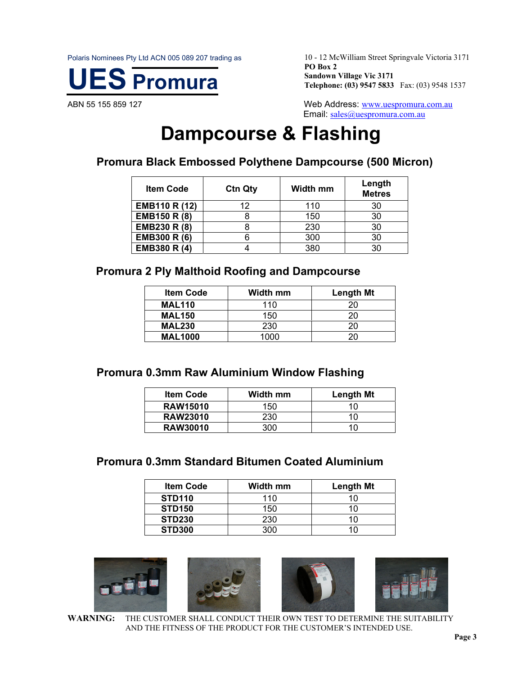Polaris Nominees Pty Ltd ACN 005 089 207 trading as



10 - 12 McWilliam Street Springvale Victoria 3171 **PO Box 2 Sandown Village Vic 3171 Telephone: (03) 9547 5833** Fax: (03) 9548 1537

ABN 55 155 859 127 Meth Address: www.uespromura.com.au Email: sales@uespromura.com.au

# **Dampcourse & Flashing**

**Promura Black Embossed Polythene Dampcourse (500 Micron)** 

| <b>Item Code</b> | <b>Ctn Qty</b> | Width mm | Length<br><b>Metres</b> |
|------------------|----------------|----------|-------------------------|
| EMB110 R (12)    | 12             | 110      | 30                      |
| EMB150 R (8)     |                | 150      | 30                      |
| EMB230 R (8)     |                | 230      | 30                      |
| EMB300 R (6)     |                | 300      | 30                      |
| EMB380 R (4)     |                | 380      | 30                      |

### **Promura 2 Ply Malthoid Roofing and Dampcourse**

| <b>Item Code</b> | <b>Width mm</b> | <b>Length Mt</b> |
|------------------|-----------------|------------------|
| <b>MAL110</b>    | 110             | ንበ               |
| <b>MAL150</b>    | 150             | ንበ               |
| <b>MAL230</b>    | 230             | 20               |
| <b>MAL1000</b>   | 1000            |                  |

### **Promura 0.3mm Raw Aluminium Window Flashing**

| <b>Item Code</b> | <b>Width mm</b> | Length Mt |
|------------------|-----------------|-----------|
| <b>RAW15010</b>  | 150             |           |
| <b>RAW23010</b>  | 230             |           |
| <b>RAW30010</b>  | 300             |           |

### **Promura 0.3mm Standard Bitumen Coated Aluminium**

| <b>Item Code</b> | Width mm | <b>Length Mt</b> |
|------------------|----------|------------------|
| <b>STD110</b>    | 110      | 10               |
| <b>STD150</b>    | 150      |                  |
| <b>STD230</b>    | 230      |                  |
| <b>STD300</b>    | ∩∩ר      |                  |



**WARNING:** THE CUSTOMER SHALL CONDUCT THEIR OWN TEST TO DETERMINE THE SUITABILITY AND THE FITNESS OF THE PRODUCT FOR THE CUSTOMER'S INTENDED USE.